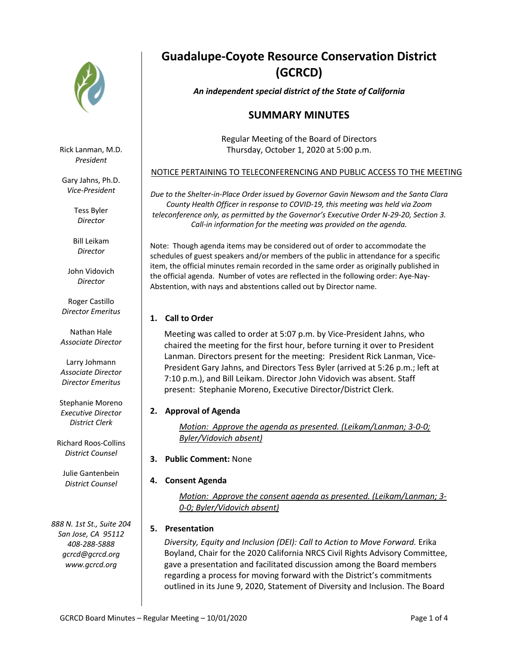

Rick Lanman, M.D. *President*

Gary Jahns, Ph.D. *Vice-President*

> Tess Byler *Director*

Bill Leikam *Director*

John Vidovich *Director*

Roger Castillo *Director Emeritus*

Nathan Hale *Associate Director*

Larry Johmann *Associate Director Director Emeritus*

Stephanie Moreno *Executive Director District Clerk*

Richard Roos-Collins *District Counsel*

Julie Gantenbein *District Counsel*

*888 N. 1st St., Suite 204 San Jose, CA 95112 408-288-5888 gcrcd@gcrcd.org www.gcrcd.org*

# **Guadalupe-Coyote Resource Conservation District (GCRCD)**

*An independent special district of the State of California*

## **SUMMARY MINUTES**

Regular Meeting of the Board of Directors Thursday, October 1, 2020 at 5:00 p.m.

### NOTICE PERTAINING TO TELECONFERENCING AND PUBLIC ACCESS TO THE MEETING

*Due to the Shelter-in-Place Order issued by Governor Gavin Newsom and the Santa Clara County Health Officer in response to COVID-19, this meeting was held via Zoom teleconference only, as permitted by the Governor's Executive Order N-29-20, Section 3. Call-in information for the meeting was provided on the agenda.*

Note: Though agenda items may be considered out of order to accommodate the schedules of guest speakers and/or members of the public in attendance for a specific item, the official minutes remain recorded in the same order as originally published in the official agenda. Number of votes are reflected in the following order: Aye-Nay-Abstention, with nays and abstentions called out by Director name.

## **1. Call to Order**

Meeting was called to order at 5:07 p.m. by Vice-President Jahns, who chaired the meeting for the first hour, before turning it over to President Lanman. Directors present for the meeting: President Rick Lanman, Vice-President Gary Jahns, and Directors Tess Byler (arrived at 5:26 p.m.; left at 7:10 p.m.), and Bill Leikam. Director John Vidovich was absent. Staff present: Stephanie Moreno, Executive Director/District Clerk.

## **2. Approval of Agenda**

*Motion: Approve the agenda as presented. (Leikam/Lanman; 3-0-0; Byler/Vidovich absent)*

**3. Public Comment: None** 

## **4. Consent Agenda**

*Motion: Approve the consent agenda as presented. (Leikam/Lanman; 3- 0-0; Byler/Vidovich absent)*

## **5. Presentation**

*Diversity, Equity and Inclusion (DEI): Call to Action to Move Forward.* Erika Boyland, Chair for the 2020 California NRCS Civil Rights Advisory Committee, gave a presentation and facilitated discussion among the Board members regarding a process for moving forward with the District's commitments outlined in its June 9, 2020, Statement of Diversity and Inclusion. The Board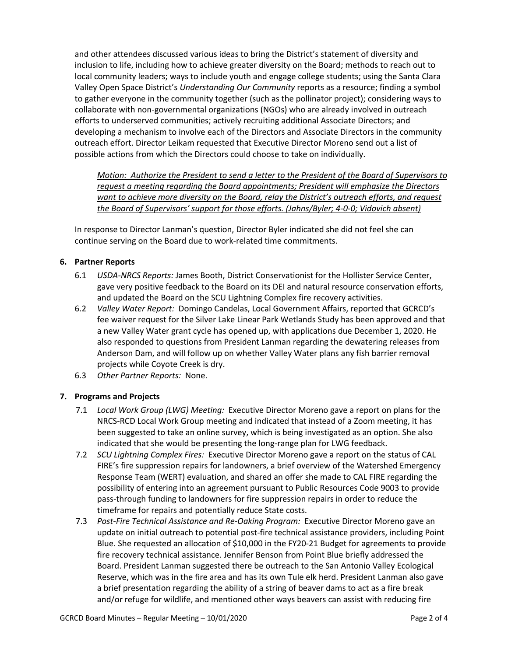and other attendees discussed various ideas to bring the District's statement of diversity and inclusion to life, including how to achieve greater diversity on the Board; methods to reach out to local community leaders; ways to include youth and engage college students; using the Santa Clara Valley Open Space District's *Understanding Our Community* reports as a resource; finding a symbol to gather everyone in the community together (such as the pollinator project); considering ways to collaborate with non-governmental organizations (NGOs) who are already involved in outreach efforts to underserved communities; actively recruiting additional Associate Directors; and developing a mechanism to involve each of the Directors and Associate Directors in the community outreach effort. Director Leikam requested that Executive Director Moreno send out a list of possible actions from which the Directors could choose to take on individually.

*Motion: Authorize the President to send a letter to the President of the Board of Supervisors to request a meeting regarding the Board appointments; President will emphasize the Directors want to achieve more diversity on the Board, relay the District's outreach efforts, and request the Board of Supervisors' support for those efforts. (Jahns/Byler; 4-0-0; Vidovich absent)*

In response to Director Lanman's question, Director Byler indicated she did not feel she can continue serving on the Board due to work-related time commitments.

#### **6. Partner Reports**

- 6.1 *USDA-NRCS Reports:* James Booth, District Conservationist for the Hollister Service Center, gave very positive feedback to the Board on its DEI and natural resource conservation efforts, and updated the Board on the SCU Lightning Complex fire recovery activities.
- 6.2 *Valley Water Report:* Domingo Candelas, Local Government Affairs, reported that GCRCD's fee waiver request for the Silver Lake Linear Park Wetlands Study has been approved and that a new Valley Water grant cycle has opened up, with applications due December 1, 2020. He also responded to questions from President Lanman regarding the dewatering releases from Anderson Dam, and will follow up on whether Valley Water plans any fish barrier removal projects while Coyote Creek is dry.
- 6.3 *Other Partner Reports:* None.

#### **7. Programs and Projects**

- 7.1 *Local Work Group (LWG) Meeting:* Executive Director Moreno gave a report on plans for the NRCS-RCD Local Work Group meeting and indicated that instead of a Zoom meeting, it has been suggested to take an online survey, which is being investigated as an option. She also indicated that she would be presenting the long-range plan for LWG feedback.
- 7.2 *SCU Lightning Complex Fires:* Executive Director Moreno gave a report on the status of CAL FIRE's fire suppression repairs for landowners, a brief overview of the Watershed Emergency Response Team (WERT) evaluation, and shared an offer she made to CAL FIRE regarding the possibility of entering into an agreement pursuant to Public Resources Code 9003 to provide pass-through funding to landowners for fire suppression repairs in order to reduce the timeframe for repairs and potentially reduce State costs.
- 7.3 *Post-Fire Technical Assistance and Re-Oaking Program:* Executive Director Moreno gave an update on initial outreach to potential post-fire technical assistance providers, including Point Blue. She requested an allocation of \$10,000 in the FY20-21 Budget for agreements to provide fire recovery technical assistance. Jennifer Benson from Point Blue briefly addressed the Board. President Lanman suggested there be outreach to the San Antonio Valley Ecological Reserve, which was in the fire area and has its own Tule elk herd. President Lanman also gave a brief presentation regarding the ability of a string of beaver dams to act as a fire break and/or refuge for wildlife, and mentioned other ways beavers can assist with reducing fire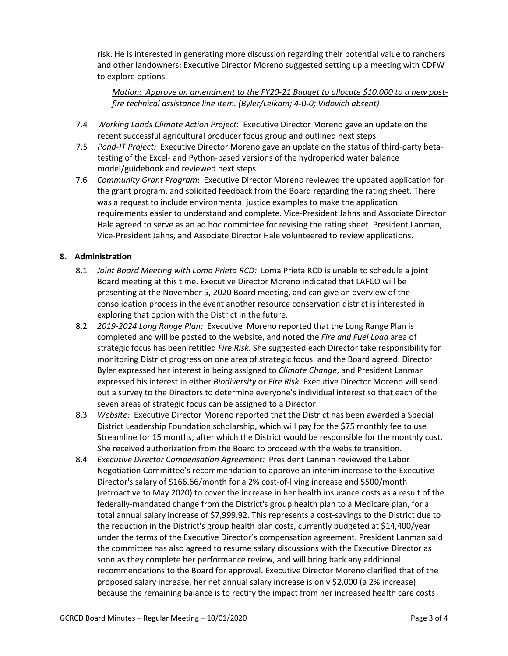risk. He is interested in generating more discussion regarding their potential value to ranchers and other landowners; Executive Director Moreno suggested setting up a meeting with CDFW to explore options.

*Motion: Approve an amendment to the FY20-21 Budget to allocate \$10,000 to a new postfire technical assistance line item. (Byler/Leikam; 4-0-0; Vidovich absent)*

- 7.4 *Working Lands Climate Action Project*: Executive Director Moreno gave an update on the recent successful agricultural producer focus group and outlined next steps.
- 7.5 *Pond-IT Project:* Executive Director Moreno gave an update on the status of third-party betatesting of the Excel- and Python-based versions of the hydroperiod water balance model/guidebook and reviewed next steps.
- 7.6 *Community Grant Program*: Executive Director Moreno reviewed the updated application for the grant program, and solicited feedback from the Board regarding the rating sheet. There was a request to include environmental justice examples to make the application requirements easier to understand and complete. Vice-President Jahns and Associate Director Hale agreed to serve as an ad hoc committee for revising the rating sheet. President Lanman, Vice-President Jahns, and Associate Director Hale volunteered to review applications.

#### **8. Administration**

- 8.1 *Joint Board Meeting with Loma Prieta RCD:* Loma Prieta RCD is unable to schedule a joint Board meeting at this time. Executive Director Moreno indicated that LAFCO will be presenting at the November 5, 2020 Board meeting, and can give an overview of the consolidation process in the event another resource conservation district is interested in exploring that option with the District in the future.
- 8.2 *2019-2024 Long Range Plan:* Executive Moreno reported that the Long Range Plan is completed and will be posted to the website, and noted the *Fire and Fuel Load* area of strategic focus has been retitled *Fire Risk*. She suggested each Director take responsibility for monitoring District progress on one area of strategic focus, and the Board agreed. Director Byler expressed her interest in being assigned to *Climate Change*, and President Lanman expressed his interest in either *Biodiversity* or *Fire Risk*. Executive Director Moreno will send out a survey to the Directors to determine everyone's individual interest so that each of the seven areas of strategic focus can be assigned to a Director.
- 8.3 *Website:* Executive Director Moreno reported that the District has been awarded a Special District Leadership Foundation scholarship, which will pay for the \$75 monthly fee to use Streamline for 15 months, after which the District would be responsible for the monthly cost. She received authorization from the Board to proceed with the website transition.
- 8.4 *Executive Director Compensation Agreement:* President Lanman reviewed the Labor Negotiation Committee's recommendation to approve an interim increase to the Executive Director's salary of \$166.66/month for a 2% cost-of-living increase and \$500/month (retroactive to May 2020) to cover the increase in her health insurance costs as a result of the federally-mandated change from the District's group health plan to a Medicare plan, for a total annual salary increase of \$7,999.92. This represents a cost-savings to the District due to the reduction in the District's group health plan costs, currently budgeted at \$14,400/year under the terms of the Executive Director's compensation agreement. President Lanman said the committee has also agreed to resume salary discussions with the Executive Director as soon as they complete her performance review, and will bring back any additional recommendations to the Board for approval. Executive Director Moreno clarified that of the proposed salary increase, her net annual salary increase is only \$2,000 (a 2% increase) because the remaining balance is to rectify the impact from her increased health care costs